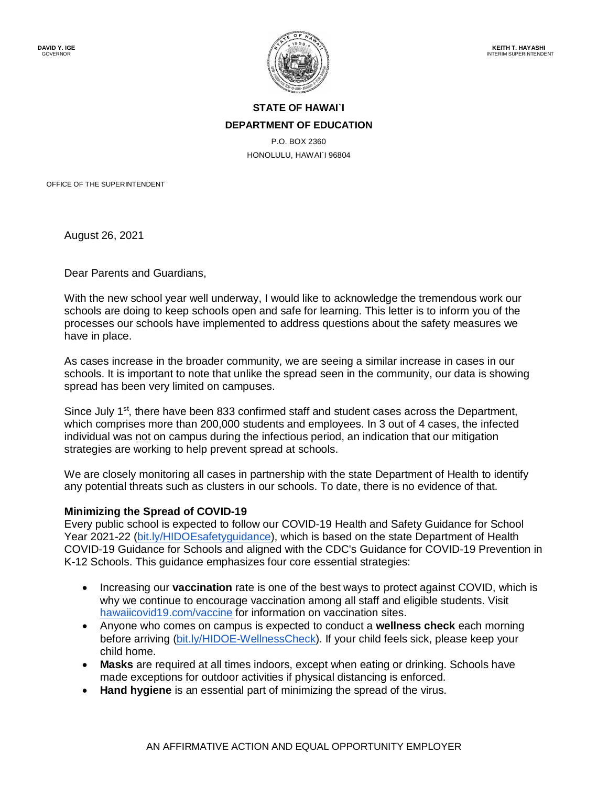

## **STATE OF HAWAI`I DEPARTMENT OF EDUCATION**

P.O. BOX 2360 HONOLULU, HAWAI`I 96804

OFFICE OF THE SUPERINTENDENT

August 26, 2021

Dear Parents and Guardians,

With the new school year well underway, I would like to acknowledge the tremendous work our schools are doing to keep schools open and safe for learning. This letter is to inform you of the processes our schools have implemented to address questions about the safety measures we have in place.

As cases increase in the broader community, we are seeing a similar increase in cases in our schools. It is important to note that unlike the spread seen in the community, our data is showing spread has been very limited on campuses.

Since July 1<sup>st</sup>, there have been 833 confirmed staff and student cases across the Department, which comprises more than 200,000 students and employees. In 3 out of 4 cases, the infected individual was not on campus during the infectious period, an indication that our mitigation strategies are working to help prevent spread at schools.

We are closely monitoring all cases in partnership with the state Department of Health to identify any potential threats such as clusters in our schools. To date, there is no evidence of that.

## **Minimizing the Spread of COVID-19**

Every public school is expected to follow our COVID-19 Health and Safety Guidance for School Year 2021-22 [\(bit.ly/HIDOEsafetyguidance\)](https://bit.ly/HIDOEsafetyguidance), which is based on the state Department of Health COVID-19 Guidance for Schools and aligned with the CDC's Guidance for COVID-19 Prevention in K-12 Schools. This guidance emphasizes four core essential strategies:

- Increasing our **vaccination** rate is one of the best ways to protect against COVID, which is why we continue to encourage vaccination among all staff and eligible students. Visit [hawaiicovid19.com/vaccine](https://hawaiicovid19.com/vaccine/) for information on vaccination sites.
- Anyone who comes on campus is expected to conduct a **wellness check** each morning before arriving [\(bit.ly/HIDOE-WellnessCheck\)](https://bit.ly/HIDOE-WellnessCheck). If your child feels sick, please keep your child home.
- **Masks** are required at all times indoors, except when eating or drinking. Schools have made exceptions for outdoor activities if physical distancing is enforced.
- **Hand hygiene** is an essential part of minimizing the spread of the virus.